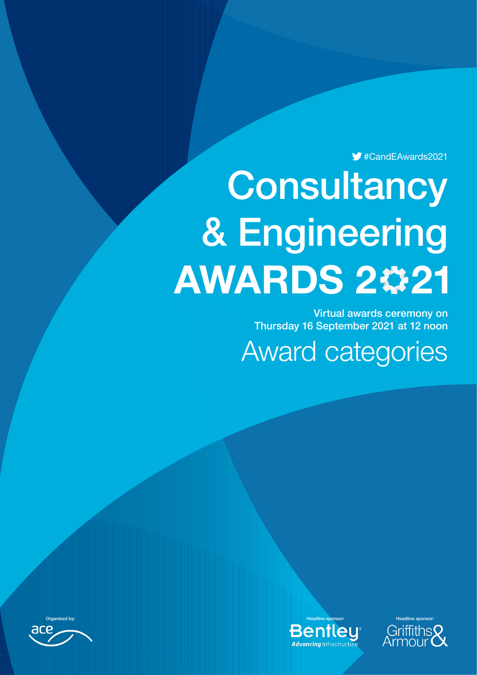#CandEAwards2021

# **Consultancy** & Engineering **AWARDS 2#21**

Virtual awards ceremony on Thursday 16 September 2021 at 12 noon

Award categories